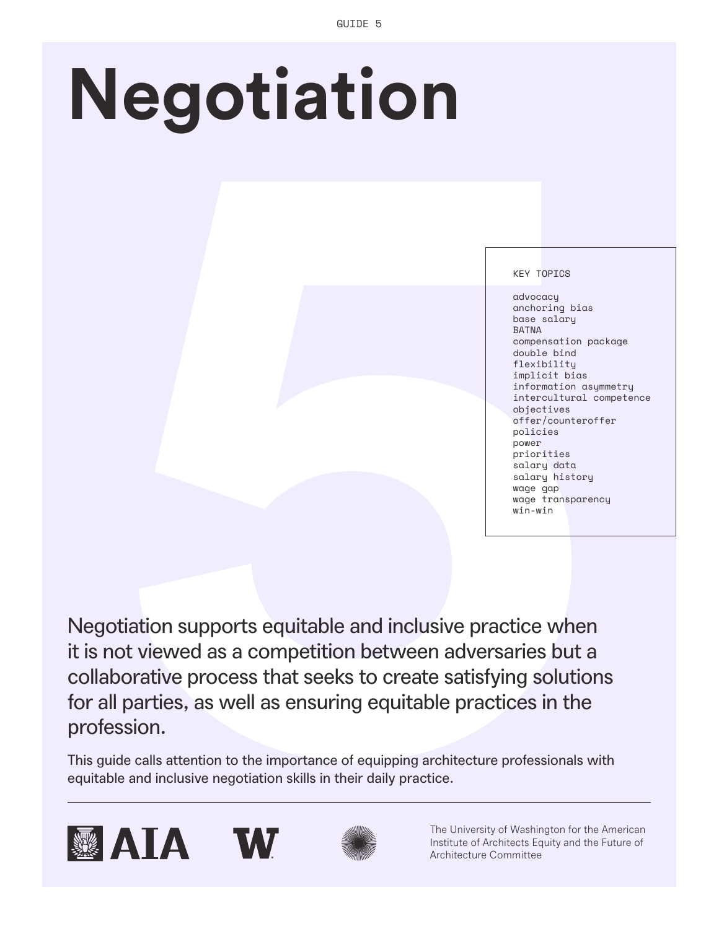# **Negotiation**

### KEY TOPICS

advocacy anchoring bias base salary BATNA compensation package double bind flexibility implicit bias information asymmetry intercultural competence objectives offer/counteroffer policies power priorities salary data salary history wage gap wage transparency win-win

**Solution Second Control Control Control Control Control Control Control Control Control Control Control Control Control Control Control Control Control Control Control Control Control Control Control Control Control Contr** Negotiation supports equitable and inclusive practice when it is not viewed as a competition between adversaries but a collaborative process that seeks to create satisfying solutions for all parties, as well as ensuring equitable practices in the profession.

This guide calls attention to the importance of equipping architecture professionals with equitable and inclusive negotiation skills in their daily practice.









The University of Washington for the American Institute of Architects Equity and the Future of Architecture Committee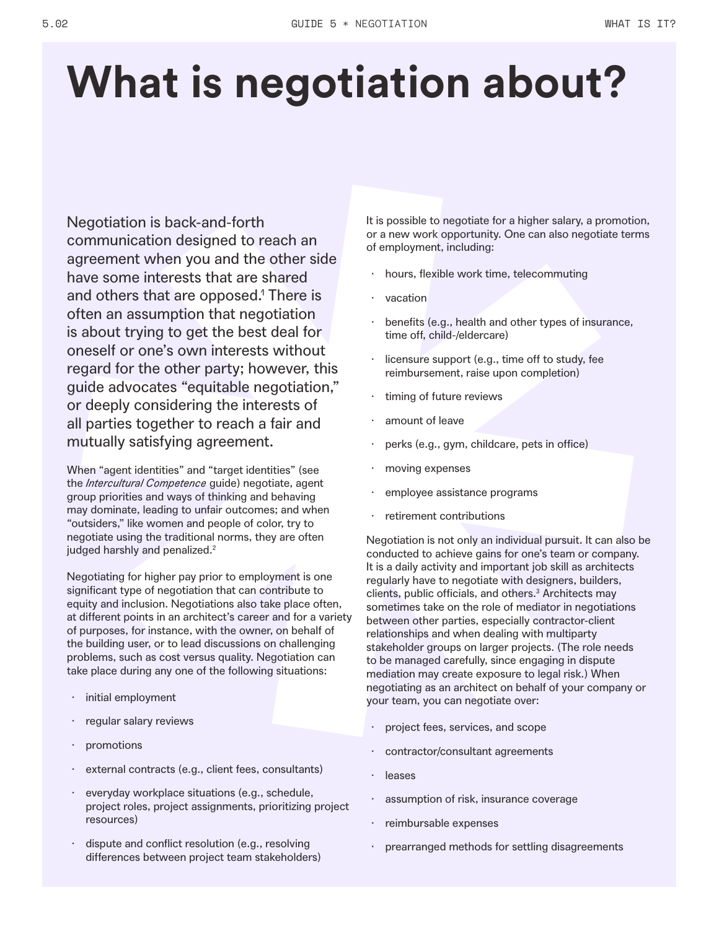# **What is negotiation about?**

Negotiation is back-and-forth communication designed to reach an agreement when you and the other side have some interests that are shared and others that are opposed.<sup>1</sup> There is often an assumption that negotiation is about trying to get the best deal for oneself or one's own interests without regard for the other party; however, this guide advocates "equitable negotiation," or deeply considering the interests of all parties together to reach a fair and mutually satisfying agreement.

When "agent identities" and "target identities" (see the *Intercultural Competence* guide) negotiate, agent group priorities and ways of thinking and behaving may dominate, leading to unfair outcomes; and when "outsiders," like women and people of color, try to negotiate using the traditional norms, they are often judged harshly and penalized.<sup>2</sup>

Negotiating for higher pay prior to employment is one significant type of negotiation that can contribute to equity and inclusion. Negotiations also take place often, at different points in an architect's career and for a variety of purposes, for instance, with the owner, on behalf of the building user, or to lead discussions on challenging problems, such as cost versus quality. Negotiation can take place during any one of the following situations:

- initial employment
- regular salary reviews
- promotions
- external contracts (e.g., client fees, consultants)
- · everyday workplace situations (e.g., schedule, project roles, project assignments, prioritizing project resources)
- dispute and conflict resolution (e.g., resolving differences between project team stakeholders)

It is possible to negotiate for a higher salary, a promotion, or a new work opportunity. One can also negotiate terms of employment, including:

- hours, flexible work time, telecommuting
- · vacation
- benefits (e.g., health and other types of insurance, time off, child-/eldercare)
- licensure support (e.g., time off to study, fee reimbursement, raise upon completion)
- timing of future reviews
- amount of leave
- perks (e.g., gym, childcare, pets in office)
- moving expenses
- employee assistance programs
- retirement contributions

Negotiation is not only an individual pursuit. It can also be conducted to achieve gains for one's team or company. It is a daily activity and important job skill as architects regularly have to negotiate with designers, builders, clients, public officials, and others.<sup>3</sup> Architects may sometimes take on the role of mediator in negotiations between other parties, especially contractor-client relationships and when dealing with multiparty stakeholder groups on larger projects. (The role needs to be managed carefully, since engaging in dispute mediation may create exposure to legal risk.) When negotiating as an architect on behalf of your company or your team, you can negotiate over:

- project fees, services, and scope
- contractor/consultant agreements
- · leases
- assumption of risk, insurance coverage
- reimbursable expenses
- prearranged methods for settling disagreements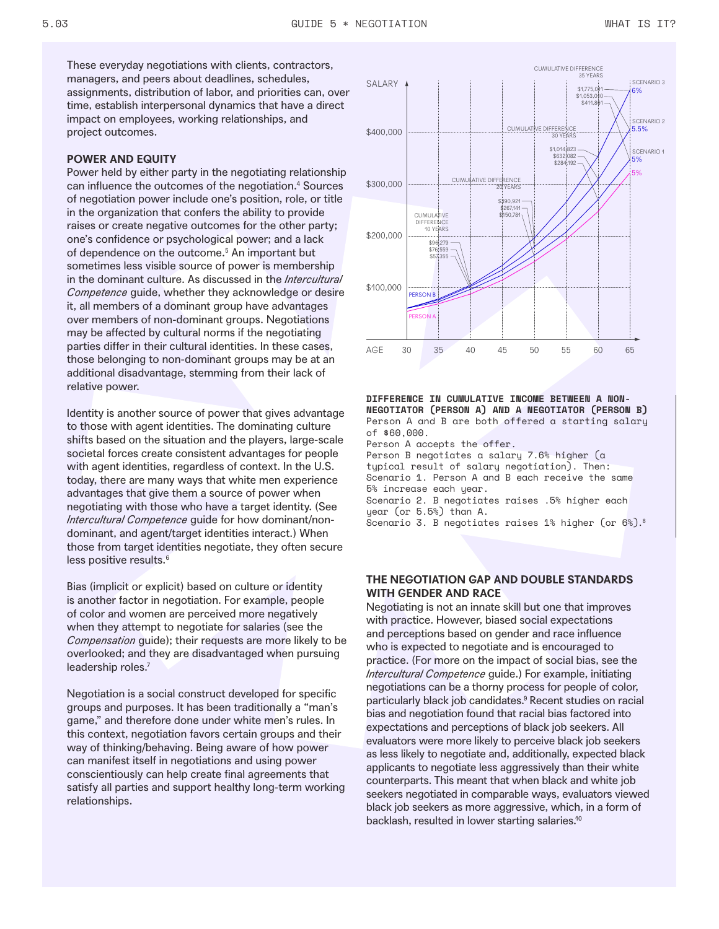These everyday negotiations with clients, contractors, managers, and peers about deadlines, schedules, assignments, distribution of labor, and priorities can, over time, establish interpersonal dynamics that have a direct impact on employees, working relationships, and project outcomes.

### **POWER AND EQUITY**

Power held by either party in the negotiating relationship can influence the outcomes of the negotiation.4 Sources of negotiation power include one's position, role, or title in the organization that confers the ability to provide raises or create negative outcomes for the other party; one's confidence or psychological power; and a lack of dependence on the outcome.<sup>5</sup> An important but sometimes less visible source of power is membership in the dominant culture. As discussed in the *Intercultural Competence* guide, whether they acknowledge or desire it, all members of a dominant group have advantages over members of non-dominant groups. Negotiations may be affected by cultural norms if the negotiating parties differ in their cultural identities. In these cases, those belonging to non-dominant groups may be at an additional disadvantage, stemming from their lack of relative power.

Identity is another source of power that gives advantage to those with agent identities. The dominating culture shifts based on the situation and the players, large-scale societal forces create consistent advantages for people with agent identities, regardless of context. In the U.S. today, there are many ways that white men experience advantages that give them a source of power when negotiating with those who have a target identity. (See *Intercultural Competence* guide for how dominant/nondominant, and agent/target identities interact.) When those from target identities negotiate, they often secure less positive results.<sup>6</sup>

Bias (implicit or explicit) based on culture or identity is another factor in negotiation. For example, people of color and women are perceived more negatively when they attempt to negotiate for salaries (see the *Compensation* guide); their requests are more likely to be overlooked; and they are disadvantaged when pursuing leadership roles.<sup>7</sup>

Negotiation is a social construct developed for specific groups and purposes. It has been traditionally a "man's game," and therefore done under white men's rules. In this context, negotiation favors certain groups and their way of thinking/behaving. Being aware of how power can manifest itself in negotiations and using power conscientiously can help create final agreements that satisfy all parties and support healthy long-term working relationships.



**DIFFERENCE IN CUMULATIVE INCOME BETWEEN A NON-NEGOTIATOR (PERSON A) AND A NEGOTIATOR (PERSON B)** Person A and B are both offered a starting salary of \$60,000. Person A accepts the offer. Person B negotiates a salary 7.6% higher (a typical result of salary negotiation). Then: Scenario 1. Person A and B each receive the same 5% increase each year. Scenario 2. B negotiates raises .5% higher each year (or 5.5%) than A. Scenario 3. B negotiates raises 1% higher (or 6%).8

# **THE NEGOTIATION GAP AND DOUBLE STANDARDS WITH GENDER AND RACE**

Negotiating is not an innate skill but one that improves with practice. However, biased social expectations and perceptions based on gender and race influence who is expected to negotiate and is encouraged to practice. (For more on the impact of social bias, see the *Intercultural Competence* guide.) For example, initiating negotiations can be a thorny process for people of color, particularly black job candidates.9 Recent studies on racial bias and negotiation found that racial bias factored into expectations and perceptions of black job seekers. All evaluators were more likely to perceive black job seekers as less likely to negotiate and, additionally, expected black applicants to negotiate less aggressively than their white counterparts. This meant that when black and white job seekers negotiated in comparable ways, evaluators viewed black job seekers as more aggressive, which, in a form of backlash, resulted in lower starting salaries.<sup>10</sup>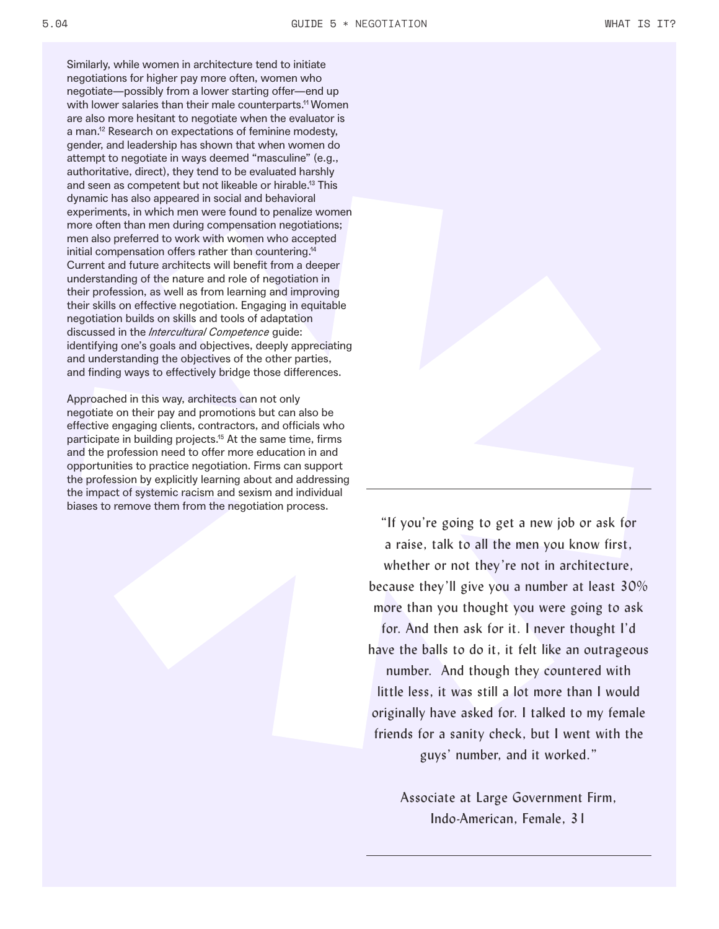Similarly, while women in architecture tend to initiate negotiations for higher pay more often, women who negotiate—possibly from a lower starting offer—end up with lower salaries than their male counterparts.<sup>11</sup> Women are also more hesitant to negotiate when the evaluator is a man.<sup>12</sup> Research on expectations of feminine modesty, gender, and leadership has shown that when women do attempt to negotiate in ways deemed "masculine" (e.g., authoritative, direct), they tend to be evaluated harshly and seen as competent but not likeable or hirable.13 This dynamic has also appeared in social and behavioral experiments, in which men were found to penalize women more often than men during compensation negotiations; men also preferred to work with women who accepted initial compensation offers rather than countering.14 Current and future architects will benefit from a deeper understanding of the nature and role of negotiation in their profession, as well as from learning and improving their skills on effective negotiation. Engaging in equitable negotiation builds on skills and tools of adaptation discussed in the *Intercultural Competence* guide: identifying one's goals and objectives, deeply appreciating and understanding the objectives of the other parties, and finding ways to effectively bridge those differences.

Approached in this way, architects can not only negotiate on their pay and promotions but can also be effective engaging clients, contractors, and officials who participate in building projects.<sup>15</sup> At the same time, firms and the profession need to offer more education in and opportunities to practice negotiation. Firms can support the profession by explicitly learning about and addressing the impact of systemic racism and sexism and individual biases to remove them from the negotiation process.

> "If you're going to get a new job or ask for a raise, talk to all the men you know first, whether or not they're not in architecture, because they'll give you a number at least 30% more than you thought you were going to ask for. And then ask for it. I never thought I'd have the balls to do it, it felt like an outrageous number. And though they countered with little less, it was still a lot more than I would originally have asked for. I talked to my female friends for a sanity check, but I went with the guys' number, and it worked."

> > Associate at Large Government Firm, Indo-American, Female, 31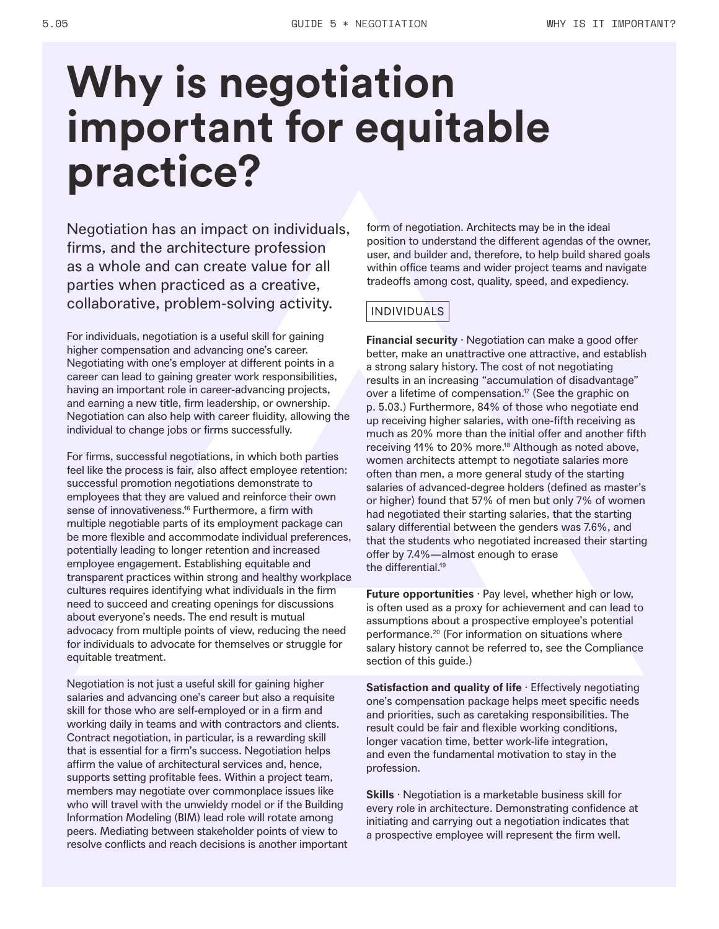# **Why is negotiation important for equitable practice?**

Negotiation has an impact on individuals, firms, and the architecture profession as a whole and can create value for all parties when practiced as a creative, collaborative, problem-solving activity.

For individuals, negotiation is a useful skill for gaining higher compensation and advancing one's career. Negotiating with one's employer at different points in a career can lead to gaining greater work responsibilities, having an important role in career-advancing projects, and earning a new title, firm leadership, or ownership. Negotiation can also help with career fluidity, allowing the individual to change jobs or firms successfully.

For firms, successful negotiations, in which both parties feel like the process is fair, also affect employee retention: successful promotion negotiations demonstrate to employees that they are valued and reinforce their own sense of innovativeness.<sup>16</sup> Furthermore, a firm with multiple negotiable parts of its employment package can be more flexible and accommodate individual preferences, potentially leading to longer retention and increased employee engagement. Establishing equitable and transparent practices within strong and healthy workplace cultures requires identifying what individuals in the firm need to succeed and creating openings for discussions about everyone's needs. The end result is mutual advocacy from multiple points of view, reducing the need for individuals to advocate for themselves or struggle for equitable treatment.

Negotiation is not just a useful skill for gaining higher salaries and advancing one's career but also a requisite skill for those who are self-employed or in a firm and working daily in teams and with contractors and clients. Contract negotiation, in particular, is a rewarding skill that is essential for a firm's success. Negotiation helps affirm the value of architectural services and, hence, supports setting profitable fees. Within a project team, members may negotiate over commonplace issues like who will travel with the unwieldy model or if the Building Information Modeling (BIM) lead role will rotate among peers. Mediating between stakeholder points of view to resolve conflicts and reach decisions is another important form of negotiation. Architects may be in the ideal position to understand the different agendas of the owner, user, and builder and, therefore, to help build shared goals within office teams and wider project teams and navigate tradeoffs among cost, quality, speed, and expediency.

# INDIVIDUALS

**Financial security** · Negotiation can make a good offer better, make an unattractive one attractive, and establish a strong salary history. The cost of not negotiating results in an increasing "accumulation of disadvantage" over a lifetime of compensation.<sup>17</sup> (See the graphic on p. 5.03.) Furthermore, 84% of those who negotiate end up receiving higher salaries, with one-fifth receiving as much as 20% more than the initial offer and another fifth receiving 11% to 20% more.<sup>18</sup> Although as noted above, women architects attempt to negotiate salaries more often than men, a more general study of the starting salaries of advanced-degree holders (defined as master's or higher) found that 57% of men but only 7% of women had negotiated their starting salaries, that the starting salary differential between the genders was 7.6%, and that the students who negotiated increased their starting offer by 7.4%—almost enough to erase the differential.<sup>19</sup>

**Future opportunities** · Pay level, whether high or low, is often used as a proxy for achievement and can lead to assumptions about a prospective employee's potential performance.20 (For information on situations where salary history cannot be referred to, see the Compliance section of this guide.)

**Satisfaction and quality of life** · Effectively negotiating one's compensation package helps meet specific needs and priorities, such as caretaking responsibilities. The result could be fair and flexible working conditions, longer vacation time, better work-life integration, and even the fundamental motivation to stay in the profession.

**Skills** · Negotiation is a marketable business skill for every role in architecture. Demonstrating confidence at initiating and carrying out a negotiation indicates that a prospective employee will represent the firm well.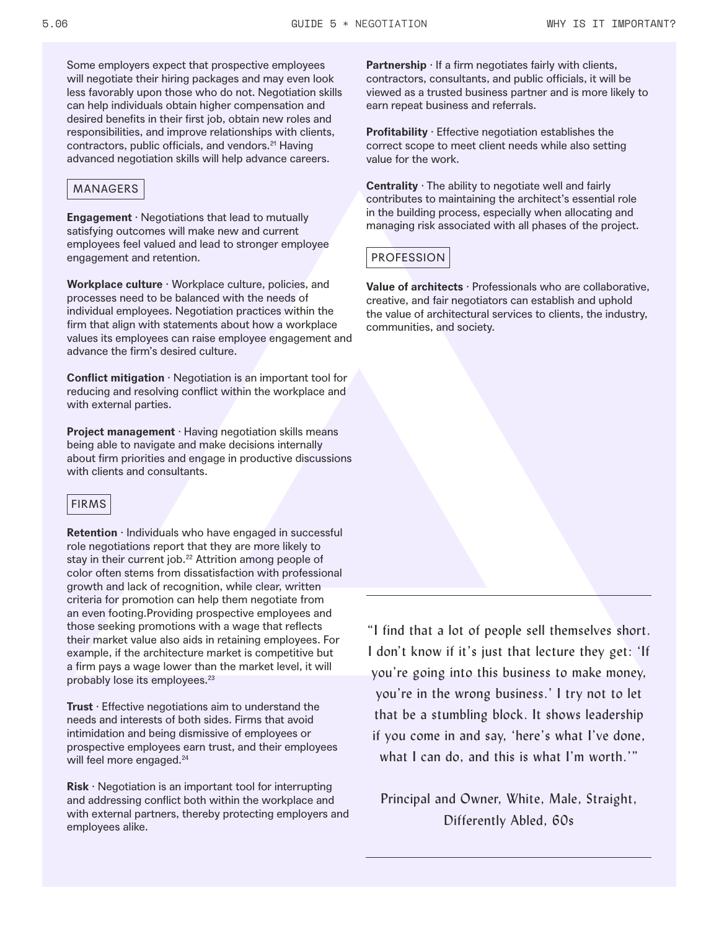Some employers expect that prospective employees will negotiate their hiring packages and may even look less favorably upon those who do not. Negotiation skills can help individuals obtain higher compensation and desired benefits in their first job, obtain new roles and responsibilities, and improve relationships with clients, contractors, public officials, and vendors.<sup>21</sup> Having advanced negotiation skills will help advance careers.

# MANAGERS

**Engagement** · Negotiations that lead to mutually satisfying outcomes will make new and current employees feel valued and lead to stronger employee engagement and retention.

**Workplace culture** · Workplace culture, policies, and processes need to be balanced with the needs of individual employees. Negotiation practices within the firm that align with statements about how a workplace values its employees can raise employee engagement and advance the firm's desired culture.

**Conflict mitigation** · Negotiation is an important tool for reducing and resolving conflict within the workplace and with external parties.

**Project management** · Having negotiation skills means being able to navigate and make decisions internally about firm priorities and engage in productive discussions with clients and consultants.

# FIRMS

**Retention** · Individuals who have engaged in successful role negotiations report that they are more likely to stay in their current job.<sup>22</sup> Attrition among people of color often stems from dissatisfaction with professional growth and lack of recognition, while clear, written criteria for promotion can help them negotiate from an even footing.Providing prospective employees and those seeking promotions with a wage that reflects their market value also aids in retaining employees. For example, if the architecture market is competitive but a firm pays a wage lower than the market level, it will probably lose its employees.<sup>23</sup>

**Trust** · Effective negotiations aim to understand the needs and interests of both sides. Firms that avoid intimidation and being dismissive of employees or prospective employees earn trust, and their employees will feel more engaged.<sup>24</sup>

**Risk** · Negotiation is an important tool for interrupting and addressing conflict both within the workplace and with external partners, thereby protecting employers and employees alike.

**Partnership**  $\cdot$  If a firm negotiates fairly with clients, contractors, consultants, and public officials, it will be viewed as a trusted business partner and is more likely to earn repeat business and referrals.

**Profitability** · Effective negotiation establishes the correct scope to meet client needs while also setting value for the work.

**Centrality** · The ability to negotiate well and fairly contributes to maintaining the architect's essential role in the building process, especially when allocating and managing risk associated with all phases of the project.

# PROFESSION

**Value of architects** · Professionals who are collaborative, creative, and fair negotiators can establish and uphold the value of architectural services to clients, the industry, communities, and society.

"I find that a lot of people sell themselves short. I don't know if it's just that lecture they get: 'If you're going into this business to make money, you're in the wrong business.' I try not to let that be a stumbling block. It shows leadership if you come in and say, 'here's what I've done, what I can do, and this is what I'm worth.""

Principal and Owner, White, Male, Straight, Differently Abled, 60s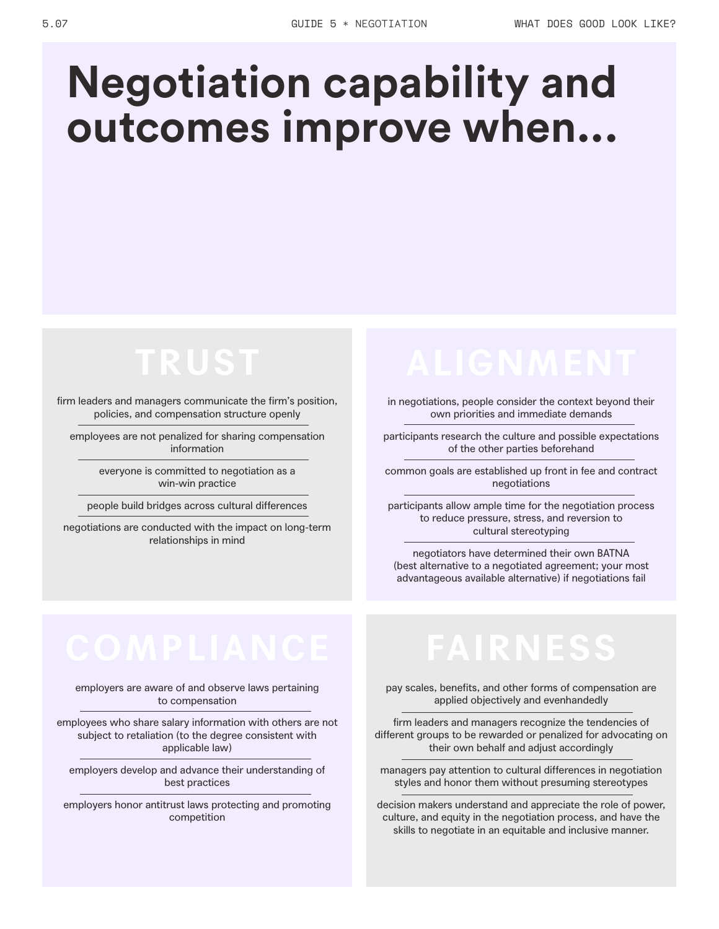# **Negotiation capability and outcomes improve when...**

# **TRUST**

firm leaders and managers communicate the firm's position, policies, and compensation structure openly

employees are not penalized for sharing compensation information

> everyone is committed to negotiation as a win-win practice

people build bridges across cultural differences

negotiations are conducted with the impact on long-term relationships in mind

in negotiations, people consider the context beyond their own priorities and immediate demands

participants research the culture and possible expectations of the other parties beforehand

common goals are established up front in fee and contract negotiations

participants allow ample time for the negotiation process to reduce pressure, stress, and reversion to cultural stereotyping

negotiators have determined their own BATNA (best alternative to a negotiated agreement; your most advantageous available alternative) if negotiations fail

# **COMPLIANCE FAIRNESS**

employers are aware of and observe laws pertaining to compensation

employees who share salary information with others are not subject to retaliation (to the degree consistent with applicable law)

employers develop and advance their understanding of best practices

employers honor antitrust laws protecting and promoting competition

pay scales, benefits, and other forms of compensation are applied objectively and evenhandedly

firm leaders and managers recognize the tendencies of different groups to be rewarded or penalized for advocating on their own behalf and adjust accordingly

managers pay attention to cultural differences in negotiation styles and honor them without presuming stereotypes

decision makers understand and appreciate the role of power, culture, and equity in the negotiation process, and have the skills to negotiate in an equitable and inclusive manner.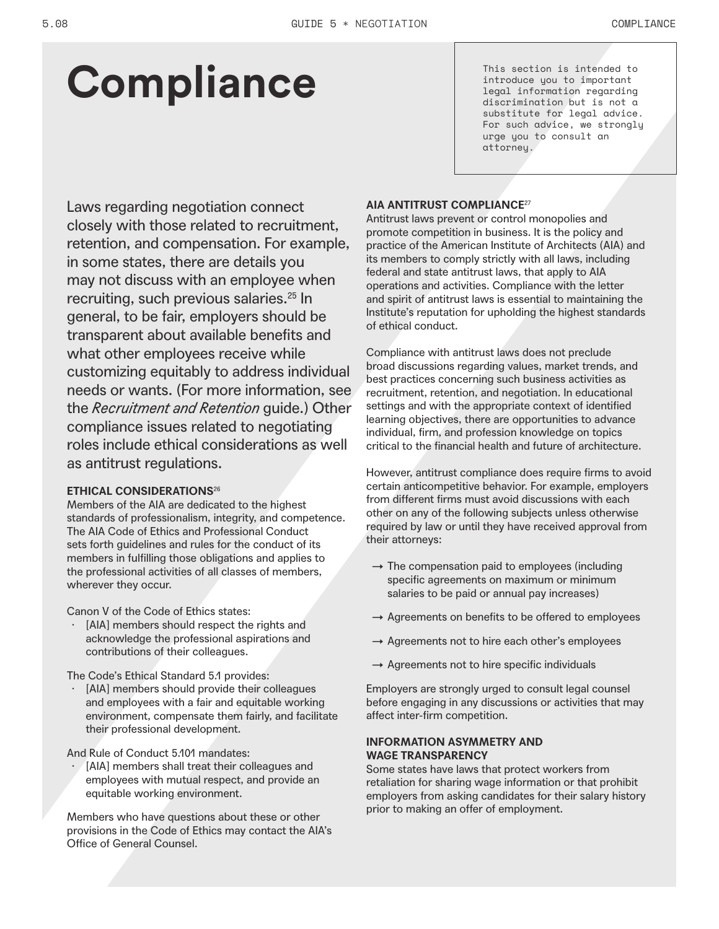# **Compliance**

This section is intended to introduce you to important legal information regarding discrimination but is not a substitute for legal advice. For such advice, we strongly urge you to consult an attorney.

Laws regarding negotiation connect closely with those related to recruitment, retention, and compensation. For example, in some states, there are details you may not discuss with an employee when recruiting, such previous salaries.<sup>25</sup> In general, to be fair, employers should be transparent about available benefits and what other employees receive while customizing equitably to address individual needs or wants. (For more information, see the *Recruitment and Retention* guide.) Other compliance issues related to negotiating roles include ethical considerations as well as antitrust regulations.

# **ETHICAL CONSIDERATIONS**<sup>26</sup>

Members of the AIA are dedicated to the highest standards of professionalism, integrity, and competence. The AIA Code of Ethics and Professional Conduct sets forth guidelines and rules for the conduct of its members in fulfilling those obligations and applies to the professional activities of all classes of members, wherever they occur.

Canon V of the Code of Ethics states:

· [AIA] members should respect the rights and acknowledge the professional aspirations and contributions of their colleagues.

The Code's Ethical Standard 5.1 provides:

[AIA] members should provide their colleagues and employees with a fair and equitable working environment, compensate them fairly, and facilitate their professional development.

And Rule of Conduct 5.101 mandates:

[AIA] members shall treat their colleagues and employees with mutual respect, and provide an equitable working environment.

Members who have questions about these or other provisions in the Code of Ethics may contact the AIA's Office of General Counsel.

# **AIA ANTITRUST COMPLIANCE**<sup>27</sup>

Antitrust laws prevent or control monopolies and promote competition in business. It is the policy and practice of the American Institute of Architects (AIA) and its members to comply strictly with all laws, including federal and state antitrust laws, that apply to AIA operations and activities. Compliance with the letter and spirit of antitrust laws is essential to maintaining the Institute's reputation for upholding the highest standards of ethical conduct.

Compliance with antitrust laws does not preclude broad discussions regarding values, market trends, and best practices concerning such business activities as recruitment, retention, and negotiation. In educational settings and with the appropriate context of identified learning objectives, there are opportunities to advance individual, firm, and profession knowledge on topics critical to the financial health and future of architecture.

However, antitrust compliance does require firms to avoid certain anticompetitive behavior. For example, employers from different firms must avoid discussions with each other on any of the following subjects unless otherwise required by law or until they have received approval from their attorneys:

- $\rightarrow$  The compensation paid to employees (including specific agreements on maximum or minimum salaries to be paid or annual pay increases)
- $\rightarrow$  Agreements on benefits to be offered to employees
- $\rightarrow$  Agreements not to hire each other's employees
- $\rightarrow$  Agreements not to hire specific individuals

Employers are strongly urged to consult legal counsel before engaging in any discussions or activities that may affect inter-firm competition.

# **INFORMATION ASYMMETRY AND WAGE TRANSPARENCY**

Some states have laws that protect workers from retaliation for sharing wage information or that prohibit employers from asking candidates for their salary history prior to making an offer of employment.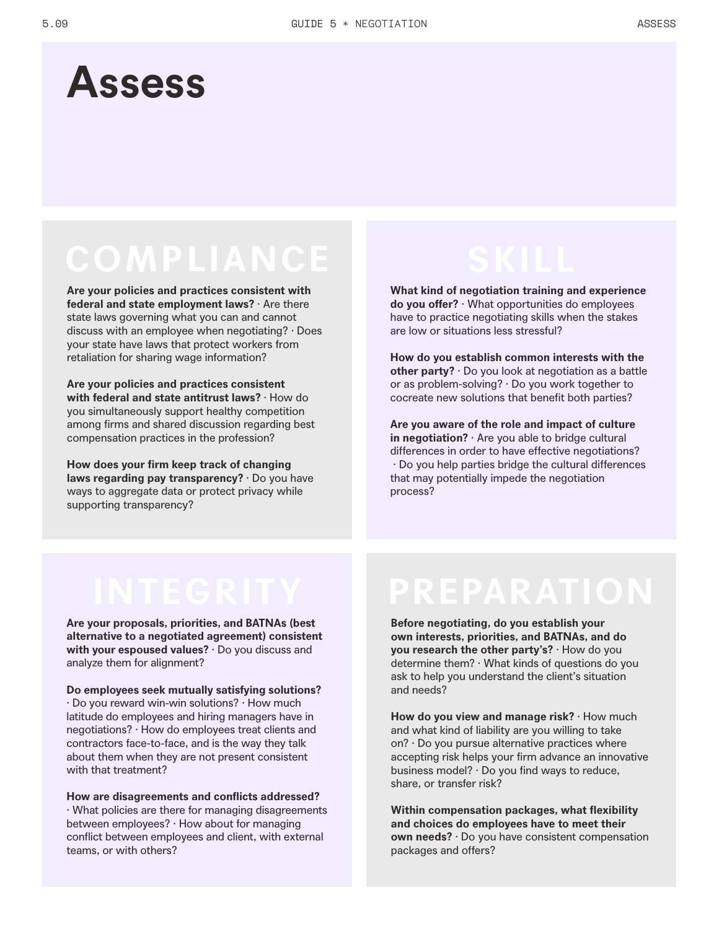# **Assess**

# **COMPLIANCE**

**Are your policies and practices consistent with federal and state employment laws?** · Are there state laws governing what you can and cannot discuss with an employee when negotiating? · Does your state have laws that protect workers from retaliation for sharing wage information?

**Are your policies and practices consistent with federal and state antitrust laws?** · How do you simultaneously support healthy competition among firms and shared discussion regarding best compensation practices in the profession?

**How does your firm keep track of changing laws regarding pay transparency?** · Do you have ways to aggregate data or protect privacy while supporting transparency?

**What kind of negotiation training and experience do you offer?** · What opportunities do employees have to practice negotiating skills when the stakes are low or situations less stressful?

**How do you establish common interests with the other party?** · Do you look at negotiation as a battle or as problem-solving? · Do you work together to cocreate new solutions that benefit both parties?

**Are you aware of the role and impact of culture in negotiation?** · Are you able to bridge cultural differences in order to have effective negotiations? · Do you help parties bridge the cultural differences that may potentially impede the negotiation process?

**Are your proposals, priorities, and BATNAs (best alternative to a negotiated agreement) consistent with your espoused values?** · Do you discuss and analyze them for alignment?

### **Do employees seek mutually satisfying solutions?**

· Do you reward win-win solutions? · How much latitude do employees and hiring managers have in negotiations? · How do employees treat clients and contractors face-to-face, and is the way they talk about them when they are not present consistent with that treatment?

**How are disagreements and conflicts addressed?** · What policies are there for managing disagreements between employees? · How about for managing conflict between employees and client, with external teams, or with others?

# **INTEGRITY PREPARATION**

**Before negotiating, do you establish your own interests, priorities, and BATNAs, and do you research the other party's?** · How do you determine them? · What kinds of questions do you ask to help you understand the client's situation and needs?

**How do you view and manage risk?** · How much and what kind of liability are you willing to take on? · Do you pursue alternative practices where accepting risk helps your firm advance an innovative business model? · Do you find ways to reduce, share, or transfer risk?

**Within compensation packages, what flexibility and choices do employees have to meet their own needs?** · Do you have consistent compensation packages and offers?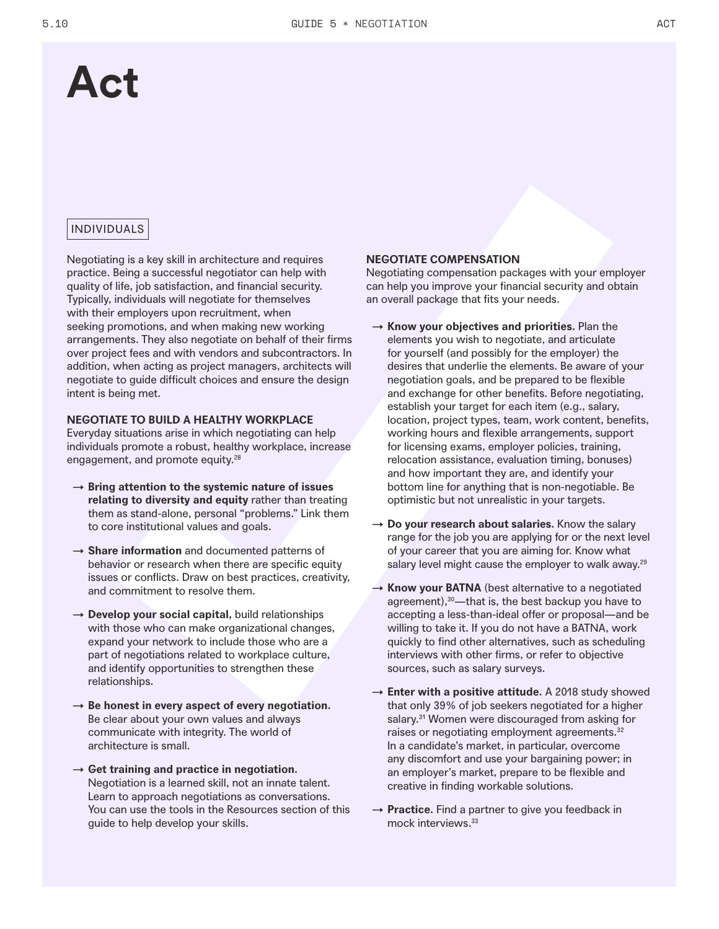# **Act**

# INDIVIDUALS

Negotiating is a key skill in architecture and requires practice. Being a successful negotiator can help with quality of life, job satisfaction, and financial security. Typically, individuals will negotiate for themselves with their employers upon recruitment, when seeking promotions, and when making new working arrangements. They also negotiate on behalf of their firms over project fees and with vendors and subcontractors. In addition, when acting as project managers, architects will negotiate to guide difficult choices and ensure the design intent is being met.

### **NEGOTIATE TO BUILD A HEALTHY WORKPLACE**

Everyday situations arise in which negotiating can help individuals promote a robust, healthy workplace, increase engagement, and promote equity.<sup>28</sup>

- → **Bring attention to the systemic nature of issues relating to diversity and equity** rather than treating them as stand-alone, personal "problems." Link them to core institutional values and goals.
- → **Share information** and documented patterns of behavior or research when there are specific equity issues or conflicts. Draw on best practices, creativity, and commitment to resolve them.
- → **Develop your social capital,** build relationships with those who can make organizational changes, expand your network to include those who are a part of negotiations related to workplace culture, and identify opportunities to strengthen these relationships.
- $\rightarrow$  Be honest in every aspect of every negotiation. Be clear about your own values and always communicate with integrity. The world of architecture is small.
- $\rightarrow$  Get training and practice in negotiation. Negotiation is a learned skill, not an innate talent. Learn to approach negotiations as conversations. You can use the tools in the Resources section of this guide to help develop your skills.

### **NEGOTIATE COMPENSATION**

Negotiating compensation packages with your employer can help you improve your financial security and obtain an overall package that fits your needs.

- → **Know your objectives and priorities.** Plan the elements you wish to negotiate, and articulate for yourself (and possibly for the employer) the desires that underlie the elements. Be aware of your negotiation goals, and be prepared to be flexible and exchange for other benefits. Before negotiating, establish your target for each item (e.g., salary, location, project types, team, work content, benefits, working hours and flexible arrangements, support for licensing exams, employer policies, training, relocation assistance, evaluation timing, bonuses) and how important they are, and identify your bottom line for anything that is non-negotiable. Be optimistic but not unrealistic in your targets.
- → **Do your research about salaries.** Know the salary range for the job you are applying for or the next level of your career that you are aiming for. Know what salary level might cause the employer to walk away.<sup>29</sup>
- $\rightarrow$  **Know your BATNA** (best alternative to a negotiated agreement),<sup>30</sup>—that is, the best backup you have to accepting a less-than-ideal offer or proposal—and be willing to take it. If you do not have a BATNA, work quickly to find other alternatives, such as scheduling interviews with other firms, or refer to objective sources, such as salary surveys.
- → **Enter with a positive attitude.** A 2018 study showed that only 39% of job seekers negotiated for a higher salary.<sup>31</sup> Women were discouraged from asking for raises or negotiating employment agreements.<sup>32</sup> In a candidate's market, in particular, overcome any discomfort and use your bargaining power; in an employer's market, prepare to be flexible and creative in finding workable solutions.
- → **Practice.** Find a partner to give you feedback in mock interviews.33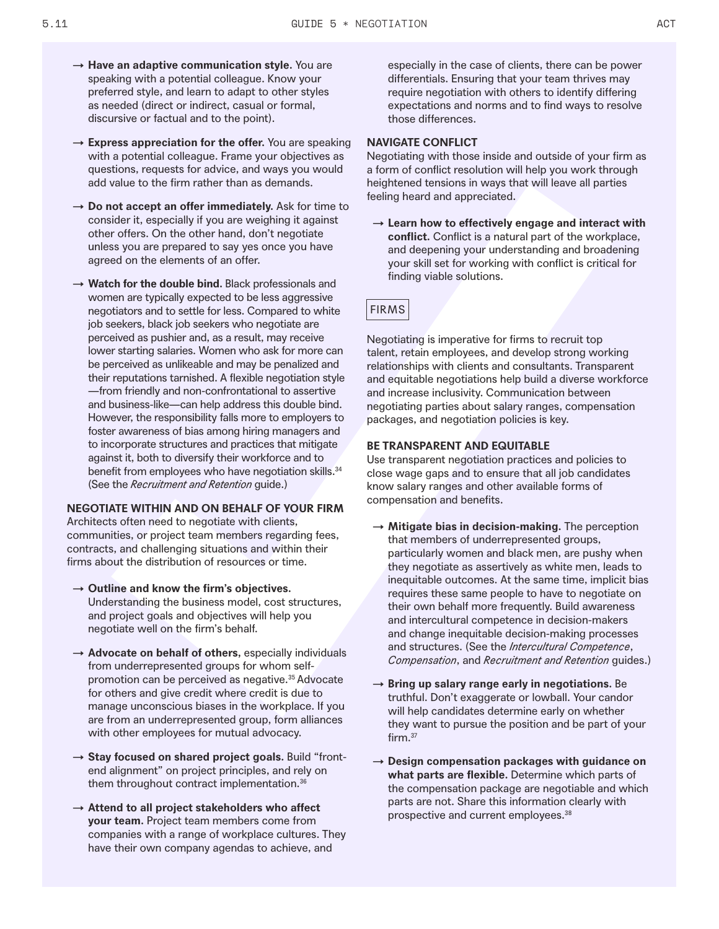- → **Have an adaptive communication style.** You are speaking with a potential colleague. Know your preferred style, and learn to adapt to other styles as needed (direct or indirect, casual or formal, discursive or factual and to the point).
- → **Express appreciation for the offer.** You are speaking with a potential colleague. Frame your objectives as questions, requests for advice, and ways you would add value to the firm rather than as demands.
- → **Do not accept an offer immediately.** Ask for time to consider it, especially if you are weighing it against other offers. On the other hand, don't negotiate unless you are prepared to say yes once you have agreed on the elements of an offer.
- → **Watch for the double bind.** Black professionals and women are typically expected to be less aggressive negotiators and to settle for less. Compared to white job seekers, black job seekers who negotiate are perceived as pushier and, as a result, may receive lower starting salaries. Women who ask for more can be perceived as unlikeable and may be penalized and their reputations tarnished. A flexible negotiation style —from friendly and non-confrontational to assertive and business-like—can help address this double bind. However, the responsibility falls more to employers to foster awareness of bias among hiring managers and to incorporate structures and practices that mitigate against it, both to diversify their workforce and to benefit from employees who have negotiation skills.<sup>34</sup> (See the *Recruitment and Retention* guide.)

#### **NEGOTIATE WITHIN AND ON BEHALF OF YOUR FIRM**

Architects often need to negotiate with clients, communities, or project team members regarding fees, contracts, and challenging situations and within their firms about the distribution of resources or time.

- → **Outline and know the firm's objectives.**  Understanding the business model, cost structures, and project goals and objectives will help you negotiate well on the firm's behalf.
- → **Advocate on behalf of others,** especially individuals from underrepresented groups for whom selfpromotion can be perceived as negative.<sup>35</sup> Advocate for others and give credit where credit is due to manage unconscious biases in the workplace. If you are from an underrepresented group, form alliances with other employees for mutual advocacy.
- → **Stay focused on shared project goals.** Build "frontend alignment" on project principles, and rely on them throughout contract implementation.<sup>36</sup>
- → **Attend to all project stakeholders who affect your team.** Project team members come from companies with a range of workplace cultures. They have their own company agendas to achieve, and

especially in the case of clients, there can be power differentials. Ensuring that your team thrives may require negotiation with others to identify differing expectations and norms and to find ways to resolve those differences.

### **NAVIGATE CONFLICT**

Negotiating with those inside and outside of your firm as a form of conflict resolution will help you work through heightened tensions in ways that will leave all parties feeling heard and appreciated.

→ **Learn how to effectively engage and interact with conflict.** Conflict is a natural part of the workplace, and deepening your understanding and broadening your skill set for working with conflict is critical for finding viable solutions.

# FIRMS

Negotiating is imperative for firms to recruit top talent, retain employees, and develop strong working relationships with clients and consultants. Transparent and equitable negotiations help build a diverse workforce and increase inclusivity. Communication between negotiating parties about salary ranges, compensation packages, and negotiation policies is key.

# **BE TRANSPARENT AND EQUITABLE**

Use transparent negotiation practices and policies to close wage gaps and to ensure that all job candidates know salary ranges and other available forms of compensation and benefits.

- → **Mitigate bias in decision-making.** The perception that members of underrepresented groups, particularly women and black men, are pushy when they negotiate as assertively as white men, leads to inequitable outcomes. At the same time, implicit bias requires these same people to have to negotiate on their own behalf more frequently. Build awareness and intercultural competence in decision-makers and change inequitable decision-making processes and structures. (See the *Intercultural Competence*, *Compensation*, and *Recruitment and Retention* guides.)
- → **Bring up salary range early in negotiations.** Be truthful. Don't exaggerate or lowball. Your candor will help candidates determine early on whether they want to pursue the position and be part of your firm.<sup>37</sup>
- → **Design compensation packages with guidance on what parts are flexible.** Determine which parts of the compensation package are negotiable and which parts are not. Share this information clearly with prospective and current employees.<sup>38</sup>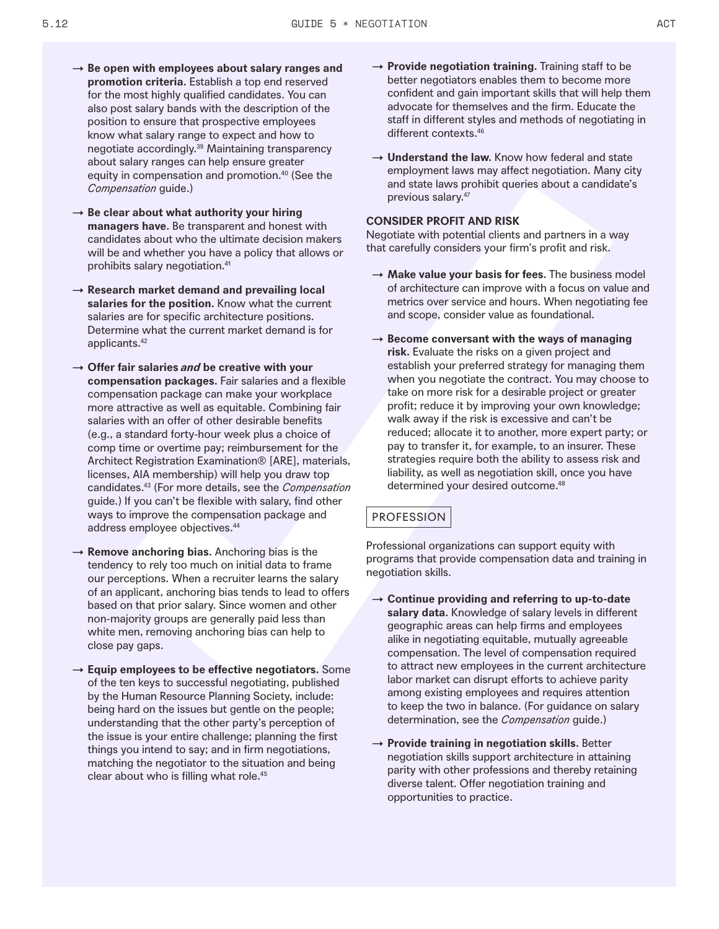- → **Be open with employees about salary ranges and promotion criteria.** Establish a top end reserved for the most highly qualified candidates. You can also post salary bands with the description of the position to ensure that prospective employees know what salary range to expect and how to negotiate accordingly.39 Maintaining transparency about salary ranges can help ensure greater equity in compensation and promotion.40 (See the *Compensation* guide.)
- → **Be clear about what authority your hiring managers have.** Be transparent and honest with candidates about who the ultimate decision makers will be and whether you have a policy that allows or prohibits salary negotiation.41
- → **Research market demand and prevailing local salaries for the position.** Know what the current salaries are for specific architecture positions. Determine what the current market demand is for applicants.42
- → **Offer fair salaries and be creative with your compensation packages.** Fair salaries and a flexible compensation package can make your workplace more attractive as well as equitable. Combining fair salaries with an offer of other desirable benefits (e.g., a standard forty-hour week plus a choice of comp time or overtime pay; reimbursement for the Architect Registration Examination® [ARE], materials, licenses, AIA membership) will help you draw top candidates.43 (For more details, see the *Compensation* guide.) If you can't be flexible with salary, find other ways to improve the compensation package and address employee objectives.44
- $\rightarrow$  **Remove anchoring bias.** Anchoring bias is the tendency to rely too much on initial data to frame our perceptions. When a recruiter learns the salary of an applicant, anchoring bias tends to lead to offers based on that prior salary. Since women and other non-majority groups are generally paid less than white men, removing anchoring bias can help to close pay gaps.
- → **Equip employees to be effective negotiators.** Some of the ten keys to successful negotiating, published by the Human Resource Planning Society, include: being hard on the issues but gentle on the people; understanding that the other party's perception of the issue is your entire challenge; planning the first things you intend to say; and in firm negotiations, matching the negotiator to the situation and being clear about who is filling what role.45
- → **Provide negotiation training.** Training staff to be better negotiators enables them to become more confident and gain important skills that will help them advocate for themselves and the firm. Educate the staff in different styles and methods of negotiating in different contexts.46
- → **Understand the law.** Know how federal and state employment laws may affect negotiation. Many city and state laws prohibit queries about a candidate's previous salary.47

# **CONSIDER PROFIT AND RISK**

Negotiate with potential clients and partners in a way that carefully considers your firm's profit and risk.

- $\rightarrow$  Make value your basis for fees. The business model of architecture can improve with a focus on value and metrics over service and hours. When negotiating fee and scope, consider value as foundational.
- → **Become conversant with the ways of managing risk.** Evaluate the risks on a given project and establish your preferred strategy for managing them when you negotiate the contract. You may choose to take on more risk for a desirable project or greater profit; reduce it by improving your own knowledge; walk away if the risk is excessive and can't be reduced; allocate it to another, more expert party; or pay to transfer it, for example, to an insurer. These strategies require both the ability to assess risk and liability, as well as negotiation skill, once you have determined your desired outcome.48

# PROFESSION

Professional organizations can support equity with programs that provide compensation data and training in negotiation skills.

- → **Continue providing and referring to up-to-date salary data.** Knowledge of salary levels in different geographic areas can help firms and employees alike in negotiating equitable, mutually agreeable compensation. The level of compensation required to attract new employees in the current architecture labor market can disrupt efforts to achieve parity among existing employees and requires attention to keep the two in balance. (For guidance on salary determination, see the *Compensation* guide.)
- → **Provide training in negotiation skills.** Better negotiation skills support architecture in attaining parity with other professions and thereby retaining diverse talent. Offer negotiation training and opportunities to practice.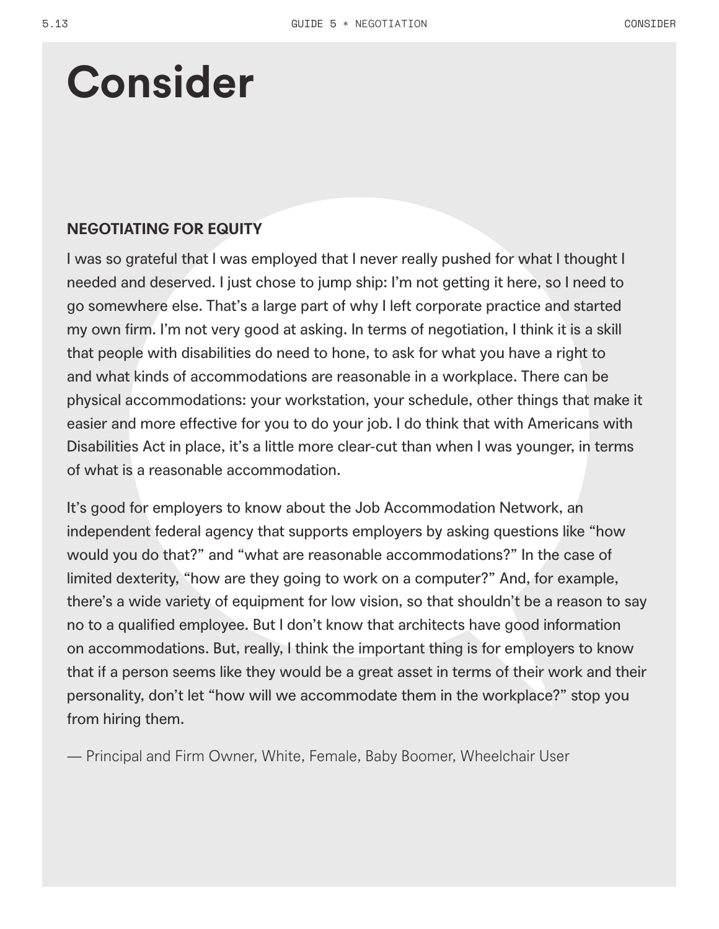# **Consider**

# **NEGOTIATING FOR EQUITY**

I was so grateful that I was employed that I never really pushed for what I thought I needed and deserved. I just chose to jump ship: I'm not getting it here, so I need to go somewhere else. That's a large part of why I left corporate practice and started my own firm. I'm not very good at asking. In terms of negotiation, I think it is a skill that people with disabilities do need to hone, to ask for what you have a right to and what kinds of accommodations are reasonable in a workplace. There can be physical accommodations: your workstation, your schedule, other things that make it easier and more effective for you to do your job. I do think that with Americans with Disabilities Act in place, it's a little more clear-cut than when I was younger, in terms of what is a reasonable accommodation.

It's good for employers to know about the Job Accommodation Network, an independent federal agency that supports employers by asking questions like "how would you do that?" and "what are reasonable accommodations?" In the case of limited dexterity, "how are they going to work on a computer?" And, for example, there's a wide variety of equipment for low vision, so that shouldn't be a reason to say no to a qualified employee. But I don't know that architects have good information on accommodations. But, really, I think the important thing is for employers to know that if a person seems like they would be a great asset in terms of their work and their personality, don't let "how will we accommodate them in the workplace?" stop you from hiring them.

— Principal and Firm Owner, White, Female, Baby Boomer, Wheelchair User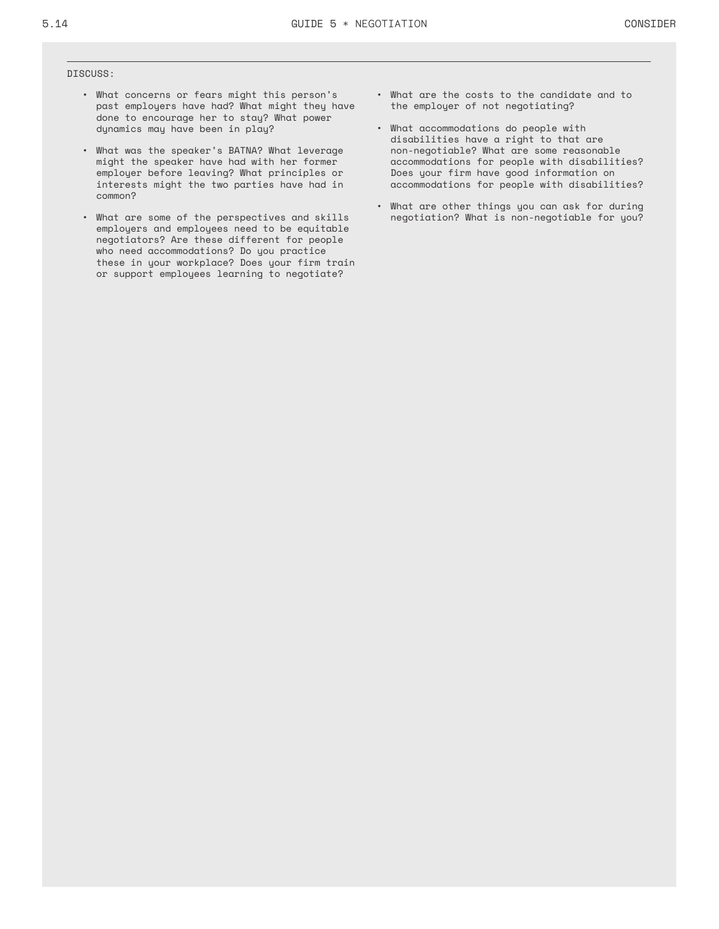#### DISCUSS:

- What concerns or fears might this person's past employers have had? What might they have done to encourage her to stay? What power dynamics may have been in play?
- What was the speaker's BATNA? What leverage might the speaker have had with her former employer before leaving? What principles or interests might the two parties have had in common?
- What are some of the perspectives and skills employers and employees need to be equitable negotiators? Are these different for people who need accommodations? Do you practice these in your workplace? Does your firm train or support employees learning to negotiate?
- What are the costs to the candidate and to the employer of not negotiating?
- What accommodations do people with disabilities have a right to that are non-negotiable? What are some reasonable accommodations for people with disabilities? Does your firm have good information on accommodations for people with disabilities?
- What are other things you can ask for during negotiation? What is non-negotiable for you?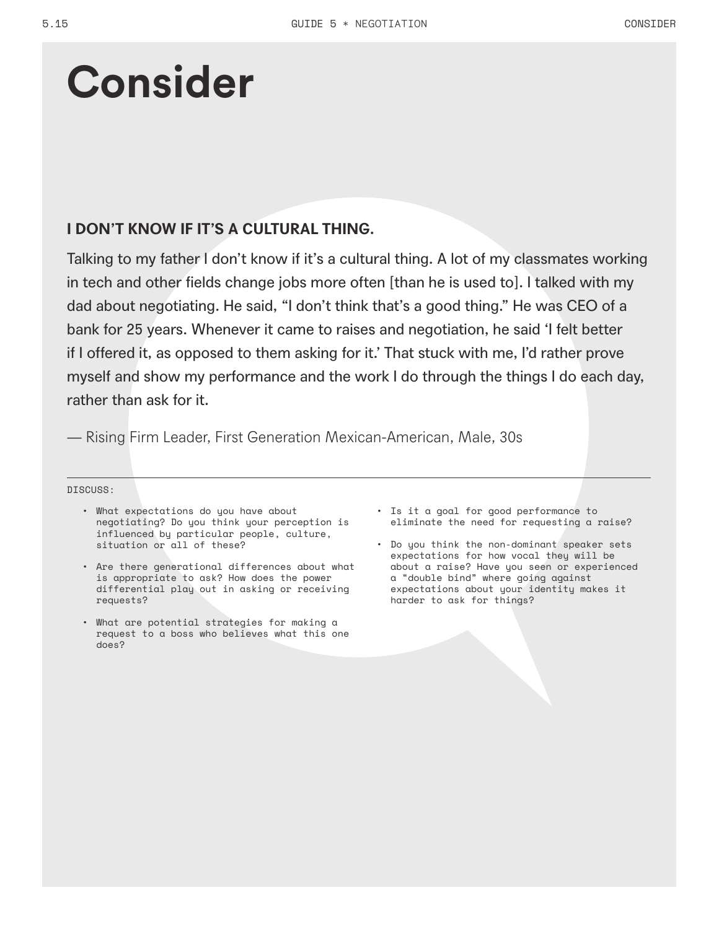# **Consider**

# **I DON'T KNOW IF IT'S A CULTURAL THING.**

Talking to my father I don't know if it's a cultural thing. A lot of my classmates working in tech and other fields change jobs more often [than he is used to]. I talked with my dad about negotiating. He said, "I don't think that's a good thing." He was CEO of a bank for 25 years. Whenever it came to raises and negotiation, he said 'I felt better if I offered it, as opposed to them asking for it.' That stuck with me, I'd rather prove myself and show my performance and the work I do through the things I do each day, rather than ask for it.

— Rising Firm Leader, First Generation Mexican-American, Male, 30s

### DISCUSS:

- What expectations do you have about negotiating? Do you think your perception is influenced by particular people, culture, situation or all of these?
- Are there generational differences about what is appropriate to ask? How does the power differential play out in asking or receiving requests?
- What are potential strategies for making a request to a boss who believes what this one does?
- Is it a goal for good performance to eliminate the need for requesting a raise?
- Do you think the non-dominant speaker sets expectations for how vocal they will be about a raise? Have you seen or experienced a "double bind" where going against expectations about your identity makes it harder to ask for things?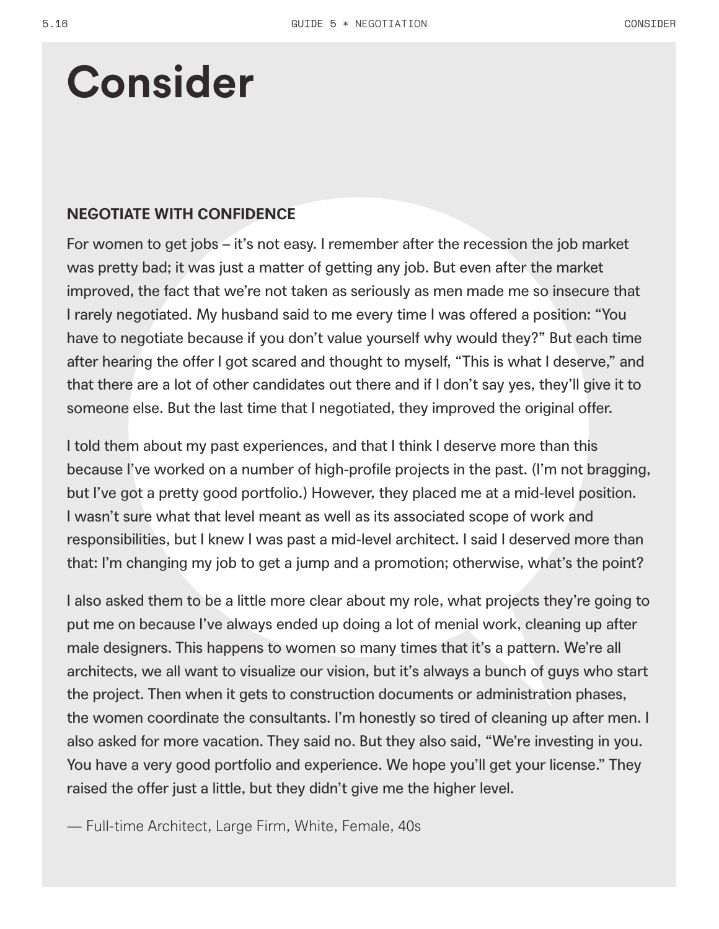# **Consider**

# **NEGOTIATE WITH CONFIDENCE**

For women to get jobs – it's not easy. I remember after the recession the job market was pretty bad; it was just a matter of getting any job. But even after the market improved, the fact that we're not taken as seriously as men made me so insecure that I rarely negotiated. My husband said to me every time I was offered a position: "You have to negotiate because if you don't value yourself why would they?" But each time after hearing the offer I got scared and thought to myself, "This is what I deserve," and that there are a lot of other candidates out there and if I don't say yes, they'll give it to someone else. But the last time that I negotiated, they improved the original offer.

I told them about my past experiences, and that I think I deserve more than this because I've worked on a number of high-profile projects in the past. (I'm not bragging, but I've got a pretty good portfolio.) However, they placed me at a mid-level position. I wasn't sure what that level meant as well as its associated scope of work and responsibilities, but I knew I was past a mid-level architect. I said I deserved more than that: I'm changing my job to get a jump and a promotion; otherwise, what's the point?

I also asked them to be a little more clear about my role, what projects they're going to put me on because I've always ended up doing a lot of menial work, cleaning up after male designers. This happens to women so many times that it's a pattern. We're all architects, we all want to visualize our vision, but it's always a bunch of guys who start the project. Then when it gets to construction documents or administration phases, the women coordinate the consultants. I'm honestly so tired of cleaning up after men. I also asked for more vacation. They said no. But they also said, "We're investing in you. You have a very good portfolio and experience. We hope you'll get your license." They raised the offer just a little, but they didn't give me the higher level.

— Full-time Architect, Large Firm, White, Female, 40s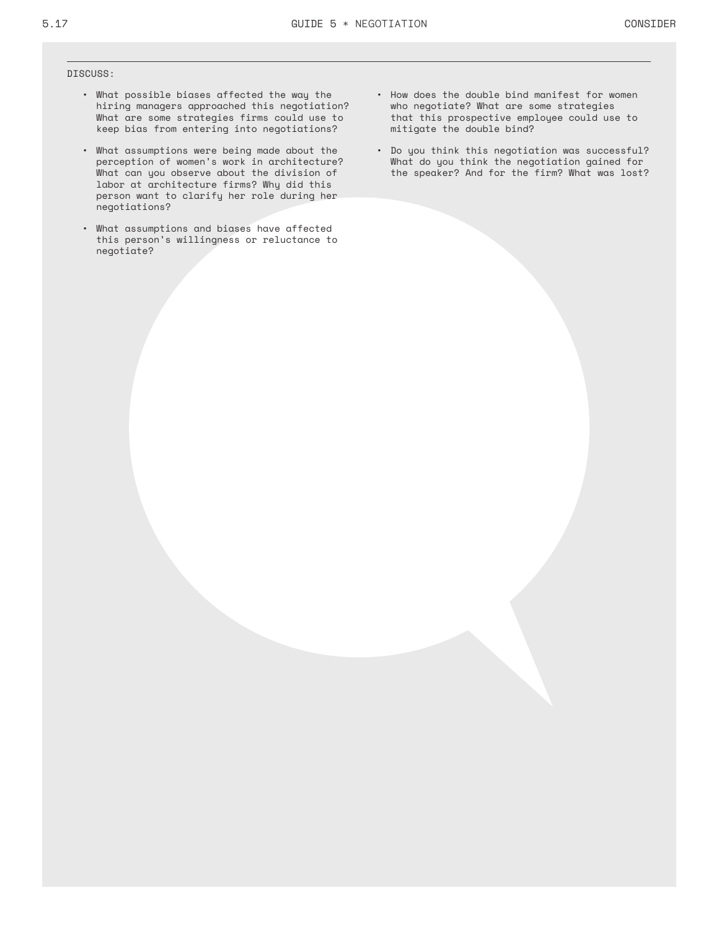#### DISCUSS:

- What possible biases affected the way the hiring managers approached this negotiation? What are some strategies firms could use to keep bias from entering into negotiations?
- What assumptions were being made about the perception of women's work in architecture? What can you observe about the division of labor at architecture firms? Why did this person want to clarify her role during her negotiations?
- What assumptions and biases have affected this person's willingness or reluctance to negotiate?
- How does the double bind manifest for women who negotiate? What are some strategies that this prospective employee could use to mitigate the double bind?
- Do you think this negotiation was successful? What do you think the negotiation gained for the speaker? And for the firm? What was lost?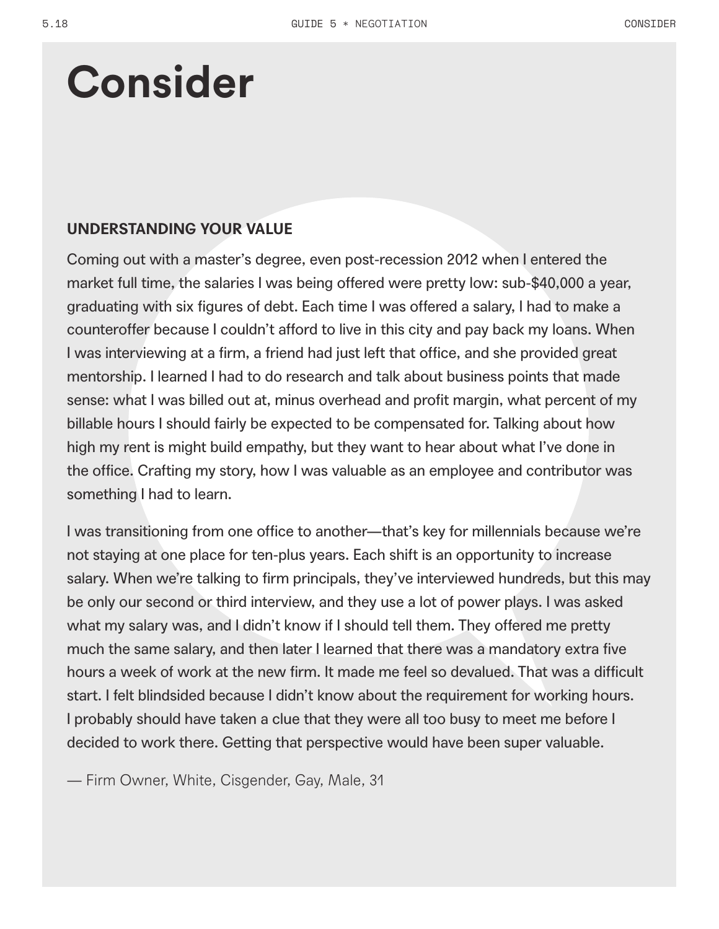# **Consider**

# **UNDERSTANDING YOUR VALUE**

Coming out with a master's degree, even post-recession 2012 when I entered the market full time, the salaries I was being offered were pretty low: sub-\$40,000 a year, graduating with six figures of debt. Each time I was offered a salary, I had to make a counteroffer because I couldn't afford to live in this city and pay back my loans. When I was interviewing at a firm, a friend had just left that office, and she provided great mentorship. I learned I had to do research and talk about business points that made sense: what I was billed out at, minus overhead and profit margin, what percent of my billable hours I should fairly be expected to be compensated for. Talking about how high my rent is might build empathy, but they want to hear about what I've done in the office. Crafting my story, how I was valuable as an employee and contributor was something I had to learn.

I was transitioning from one office to another—that's key for millennials because we're not staying at one place for ten-plus years. Each shift is an opportunity to increase salary. When we're talking to firm principals, they've interviewed hundreds, but this may be only our second or third interview, and they use a lot of power plays. I was asked what my salary was, and I didn't know if I should tell them. They offered me pretty much the same salary, and then later I learned that there was a mandatory extra five hours a week of work at the new firm. It made me feel so devalued. That was a difficult start. I felt blindsided because I didn't know about the requirement for working hours. I probably should have taken a clue that they were all too busy to meet me before I decided to work there. Getting that perspective would have been super valuable.

— Firm Owner, White, Cisgender, Gay, Male, 31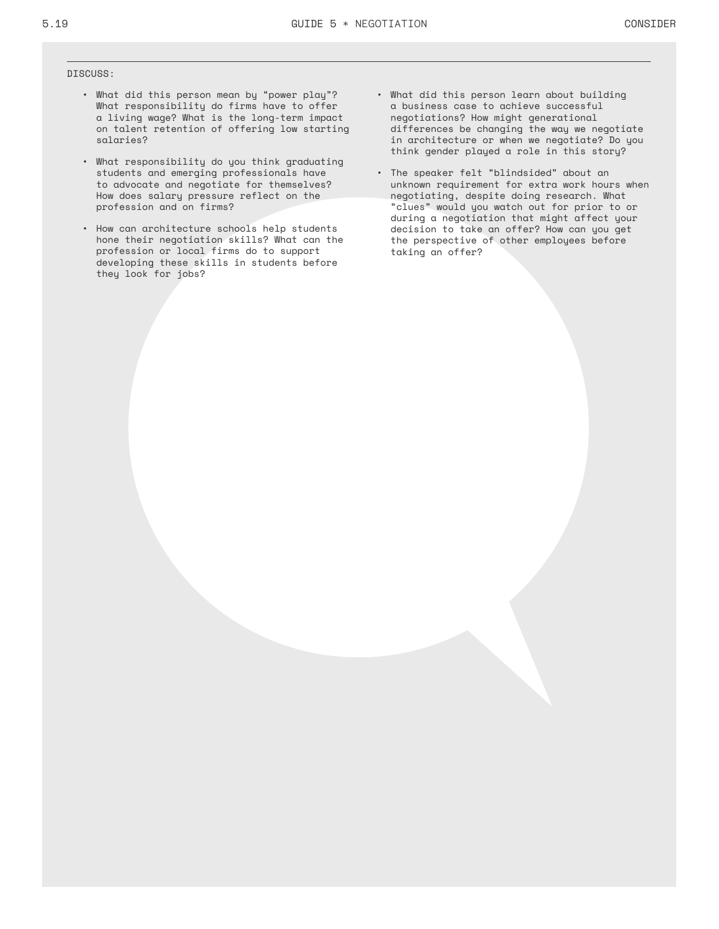#### DISCUSS:

- What did this person mean by "power play"? What responsibility do firms have to offer a living wage? What is the long-term impact on talent retention of offering low starting salaries?
- What responsibility do you think graduating students and emerging professionals have to advocate and negotiate for themselves? How does salary pressure reflect on the profession and on firms?
- How can architecture schools help students hone their negotiation skills? What can the profession or local firms do to support developing these skills in students before they look for jobs?
- What did this person learn about building a business case to achieve successful negotiations? How might generational differences be changing the way we negotiate in architecture or when we negotiate? Do you think gender played a role in this story?
- The speaker felt "blindsided" about an unknown requirement for extra work hours when negotiating, despite doing research. What "clues" would you watch out for prior to or during a negotiation that might affect your decision to take an offer? How can you get the perspective of other employees before taking an offer?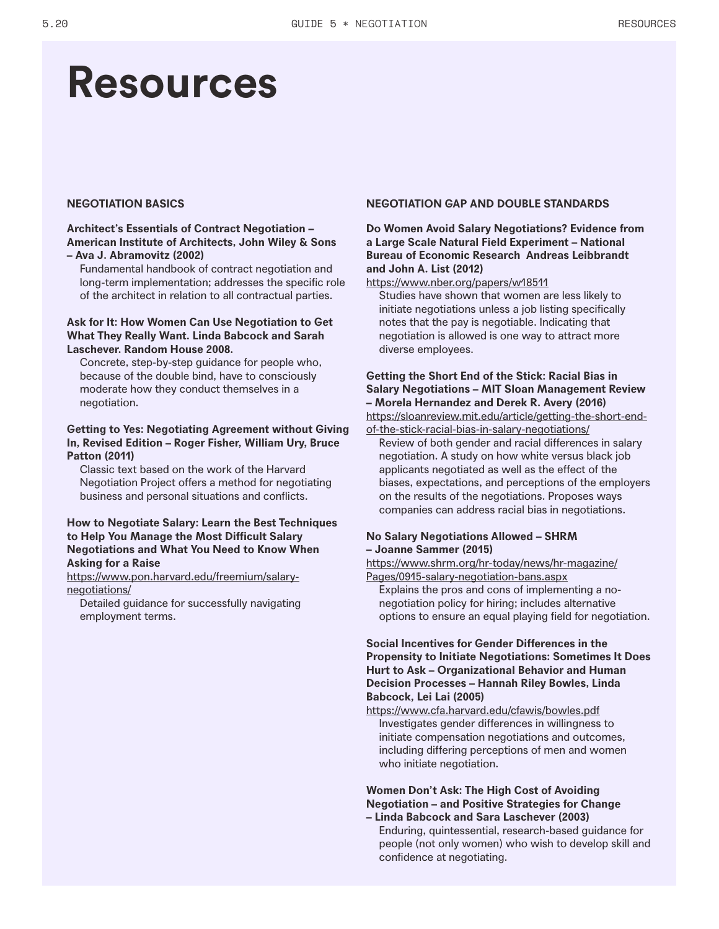# **Resources**

### **NEGOTIATION BASICS**

### **Architect's Essentials of Contract Negotiation – American Institute of Architects, John Wiley & Sons – Ava J. Abramovitz (2002)**

Fundamental handbook of contract negotiation and long-term implementation; addresses the specific role of the architect in relation to all contractual parties.

# **Ask for It: How Women Can Use Negotiation to Get What They Really Want. Linda Babcock and Sarah Laschever. Random House 2008.**

Concrete, step-by-step guidance for people who, because of the double bind, have to consciously moderate how they conduct themselves in a negotiation.

### **Getting to Yes: Negotiating Agreement without Giving In, Revised Edition – Roger Fisher, William Ury, Bruce Patton (2011)**

Classic text based on the work of the Harvard Negotiation Project offers a method for negotiating business and personal situations and conflicts.

# **How to Negotiate Salary: Learn the Best Techniques to Help You Manage the Most Difficult Salary Negotiations and What You Need to Know When Asking for a Raise**

https://www.pon.harvard.edu/freemium/salarynegotiations/

Detailed guidance for successfully navigating employment terms.

### **NEGOTIATION GAP AND DOUBLE STANDARDS**

# **Do Women Avoid Salary Negotiations? Evidence from a Large Scale Natural Field Experiment – National Bureau of Economic Research Andreas Leibbrandt and John A. List (2012)**

https://www.nber.org/papers/w18511

Studies have shown that women are less likely to initiate negotiations unless a job listing specifically notes that the pay is negotiable. Indicating that negotiation is allowed is one way to attract more diverse employees.

# **Getting the Short End of the Stick: Racial Bias in Salary Negotiations – MIT Sloan Management Review – Morela Hernandez and Derek R. Avery (2016)**

https://sloanreview.mit.edu/article/getting-the-short-endof-the-stick-racial-bias-in-salary-negotiations/

Review of both gender and racial differences in salary negotiation. A study on how white versus black job applicants negotiated as well as the effect of the biases, expectations, and perceptions of the employers on the results of the negotiations. Proposes ways companies can address racial bias in negotiations.

# **No Salary Negotiations Allowed – SHRM – Joanne Sammer (2015)**

https://www.shrm.org/hr-today/news/hr-magazine/ Pages/0915-salary-negotiation-bans.aspx

Explains the pros and cons of implementing a nonegotiation policy for hiring; includes alternative options to ensure an equal playing field for negotiation.

# **Social Incentives for Gender Differences in the Propensity to Initiate Negotiations: Sometimes It Does Hurt to Ask – Organizational Behavior and Human Decision Processes – Hannah Riley Bowles, Linda Babcock, Lei Lai (2005)**

https://www.cfa.harvard.edu/cfawis/bowles.pdf Investigates gender differences in willingness to initiate compensation negotiations and outcomes, including differing perceptions of men and women who initiate negotiation.

### **Women Don't Ask: The High Cost of Avoiding Negotiation – and Positive Strategies for Change – Linda Babcock and Sara Laschever (2003)**

Enduring, quintessential, research-based guidance for people (not only women) who wish to develop skill and confidence at negotiating.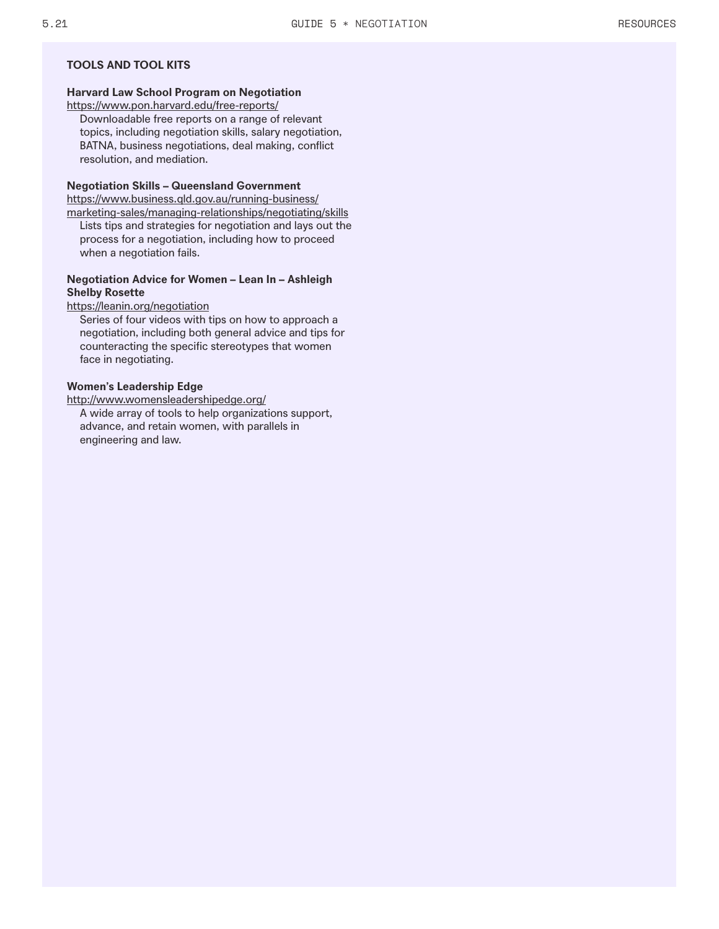# **TOOLS AND TOOL KITS**

# **Harvard Law School Program on Negotiation**

https://www.pon.harvard.edu/free-reports/

Downloadable free reports on a range of relevant topics, including negotiation skills, salary negotiation, BATNA, business negotiations, deal making, conflict resolution, and mediation.

### **Negotiation Skills – Queensland Government**

https://www.business.qld.gov.au/running-business/

marketing-sales/managing-relationships/negotiating/skills Lists tips and strategies for negotiation and lays out the process for a negotiation, including how to proceed when a negotiation fails.

# **Negotiation Advice for Women – Lean In – Ashleigh Shelby Rosette**

### https://leanin.org/negotiation

Series of four videos with tips on how to approach a negotiation, including both general advice and tips for counteracting the specific stereotypes that women face in negotiating.

### **Women's Leadership Edge**

http://www.womensleadershipedge.org/ A wide array of tools to help organizations support, advance, and retain women, with parallels in engineering and law.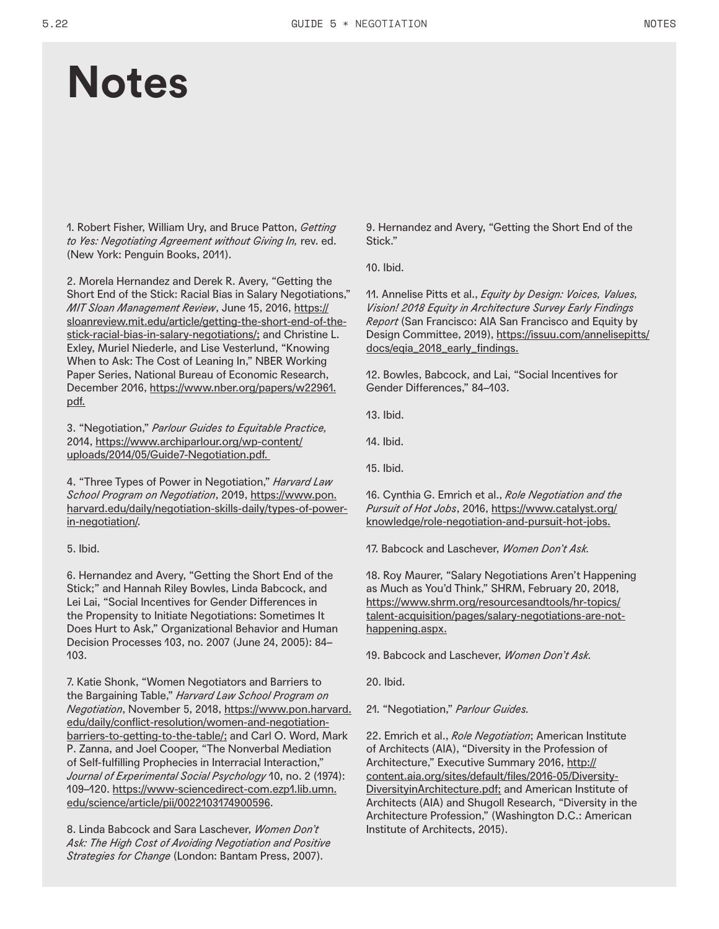# **Notes**

1. Robert Fisher, William Ury, and Bruce Patton, *Getting to Yes: Negotiating Agreement without Giving In,* rev. ed. (New York: Penguin Books, 2011).

2. Morela Hernandez and Derek R. Avery, "Getting the Short End of the Stick: Racial Bias in Salary Negotiations," *MIT Sloan Management Review*, June 15, 2016, https:// sloanreview.mit.edu/article/getting-the-short-end-of-thestick-racial-bias-in-salary-negotiations/; and Christine L. Exley, Muriel Niederle, and Lise Vesterlund, "Knowing When to Ask: The Cost of Leaning In," NBER Working Paper Series, National Bureau of Economic Research, December 2016, https://www.nber.org/papers/w22961. pdf.

3. "Negotiation," *Parlour Guides to Equitable Practice,* 2014, https://www.archiparlour.org/wp-content/ uploads/2014/05/Guide7-Negotiation.pdf.

4. "Three Types of Power in Negotiation," *Harvard Law School Program on Negotiation*, 2019, https://www.pon. harvard.edu/daily/negotiation-skills-daily/types-of-powerin-negotiation/.

### 5. Ibid.

6. Hernandez and Avery, "Getting the Short End of the Stick;" and Hannah Riley Bowles, Linda Babcock, and Lei Lai, "Social Incentives for Gender Differences in the Propensity to Initiate Negotiations: Sometimes It Does Hurt to Ask," Organizational Behavior and Human Decision Processes 103, no. 2007 (June 24, 2005): 84– 103.

7. Katie Shonk, "Women Negotiators and Barriers to the Bargaining Table," *Harvard Law School Program on Negotiation*, November 5, 2018, https://www.pon.harvard. edu/daily/conflict-resolution/women-and-negotiationbarriers-to-getting-to-the-table/; and Carl O. Word, Mark P. Zanna, and Joel Cooper, "The Nonverbal Mediation of Self-fulfilling Prophecies in Interracial Interaction," *Journal of Experimental Social Psychology* 10, no. 2 (1974): 109–120. https://www-sciencedirect-com.ezp1.lib.umn. edu/science/article/pii/0022103174900596.

8. Linda Babcock and Sara Laschever, *Women Don't Ask: The High Cost of Avoiding Negotiation and Positive Strategies for Change* (London: Bantam Press, 2007).

9. Hernandez and Avery, "Getting the Short End of the Stick."

10. Ibid.

11. Annelise Pitts et al., *Equity by Design: Voices, Values, Vision! 2018 Equity in Architecture Survey Early Findings Report* (San Francisco: AIA San Francisco and Equity by Design Committee, 2019), https://issuu.com/annelisepitts/ docs/eqia\_2018\_early\_findings.

12. Bowles, Babcock, and Lai, "Social Incentives for Gender Differences," 84–103.

13. Ibid.

14. Ibid.

15. Ibid.

16. Cynthia G. Emrich et al., *Role Negotiation and the Pursuit of Hot Jobs*, 2016, https://www.catalyst.org/ knowledge/role-negotiation-and-pursuit-hot-jobs.

17. Babcock and Laschever, *Women Don't Ask.*

18. Roy Maurer, "Salary Negotiations Aren't Happening as Much as You'd Think," SHRM, February 20, 2018, https://www.shrm.org/resourcesandtools/hr-topics/ talent-acquisition/pages/salary-negotiations-are-nothappening.aspx.

19. Babcock and Laschever, *Women Don't Ask.*

20. Ibid.

21. "Negotiation," *Parlour Guides.*

22. Emrich et al., *Role Negotiation*; American Institute of Architects (AIA), "Diversity in the Profession of Architecture," Executive Summary 2016, http:// content.aia.org/sites/default/files/2016-05/Diversity-DiversityinArchitecture.pdf; and American Institute of Architects (AIA) and Shugoll Research, "Diversity in the Architecture Profession," (Washington D.C.: American Institute of Architects, 2015).